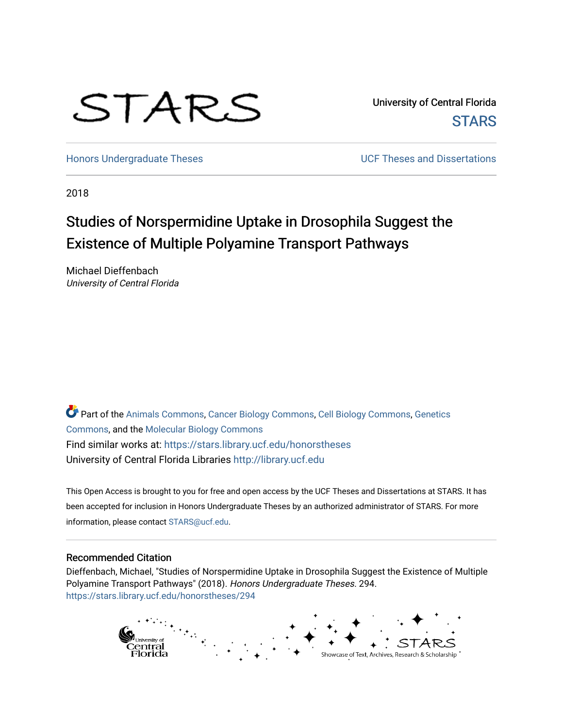# STARS

University of Central Florida **STARS** 

[Honors Undergraduate Theses](https://stars.library.ucf.edu/honorstheses) **No. 2018** UCF Theses and Dissertations

2018

# Studies of Norspermidine Uptake in Drosophila Suggest the Existence of Multiple Polyamine Transport Pathways

Michael Dieffenbach University of Central Florida

Part of the [Animals Commons](http://network.bepress.com/hgg/discipline/1006?utm_source=stars.library.ucf.edu%2Fhonorstheses%2F294&utm_medium=PDF&utm_campaign=PDFCoverPages), [Cancer Biology Commons,](http://network.bepress.com/hgg/discipline/12?utm_source=stars.library.ucf.edu%2Fhonorstheses%2F294&utm_medium=PDF&utm_campaign=PDFCoverPages) [Cell Biology Commons,](http://network.bepress.com/hgg/discipline/10?utm_source=stars.library.ucf.edu%2Fhonorstheses%2F294&utm_medium=PDF&utm_campaign=PDFCoverPages) [Genetics](http://network.bepress.com/hgg/discipline/29?utm_source=stars.library.ucf.edu%2Fhonorstheses%2F294&utm_medium=PDF&utm_campaign=PDFCoverPages) [Commons](http://network.bepress.com/hgg/discipline/29?utm_source=stars.library.ucf.edu%2Fhonorstheses%2F294&utm_medium=PDF&utm_campaign=PDFCoverPages), and the [Molecular Biology Commons](http://network.bepress.com/hgg/discipline/5?utm_source=stars.library.ucf.edu%2Fhonorstheses%2F294&utm_medium=PDF&utm_campaign=PDFCoverPages) Find similar works at: <https://stars.library.ucf.edu/honorstheses> University of Central Florida Libraries [http://library.ucf.edu](http://library.ucf.edu/) 

This Open Access is brought to you for free and open access by the UCF Theses and Dissertations at STARS. It has been accepted for inclusion in Honors Undergraduate Theses by an authorized administrator of STARS. For more information, please contact [STARS@ucf.edu.](mailto:STARS@ucf.edu)

#### Recommended Citation

Dieffenbach, Michael, "Studies of Norspermidine Uptake in Drosophila Suggest the Existence of Multiple Polyamine Transport Pathways" (2018). Honors Undergraduate Theses. 294. [https://stars.library.ucf.edu/honorstheses/294](https://stars.library.ucf.edu/honorstheses/294?utm_source=stars.library.ucf.edu%2Fhonorstheses%2F294&utm_medium=PDF&utm_campaign=PDFCoverPages) 

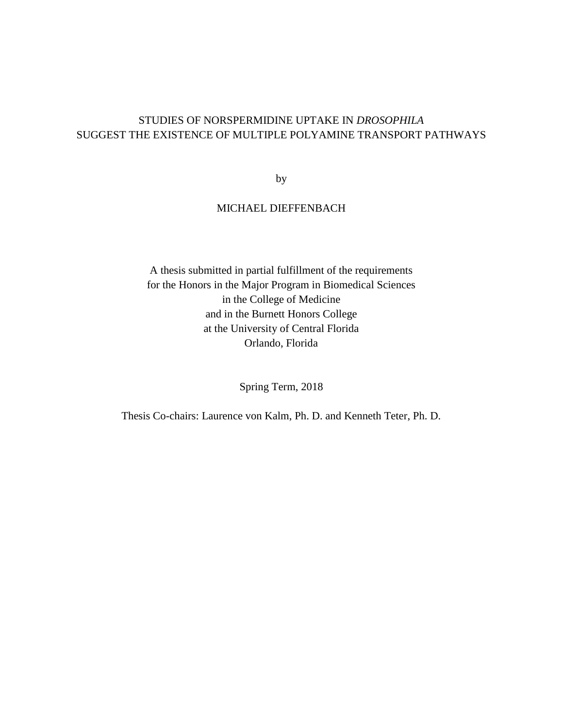## STUDIES OF NORSPERMIDINE UPTAKE IN *DROSOPHILA* SUGGEST THE EXISTENCE OF MULTIPLE POLYAMINE TRANSPORT PATHWAYS

by

## MICHAEL DIEFFENBACH

A thesis submitted in partial fulfillment of the requirements for the Honors in the Major Program in Biomedical Sciences in the College of Medicine and in the Burnett Honors College at the University of Central Florida Orlando, Florida

Spring Term, 2018

Thesis Co-chairs: Laurence von Kalm, Ph. D. and Kenneth Teter, Ph. D.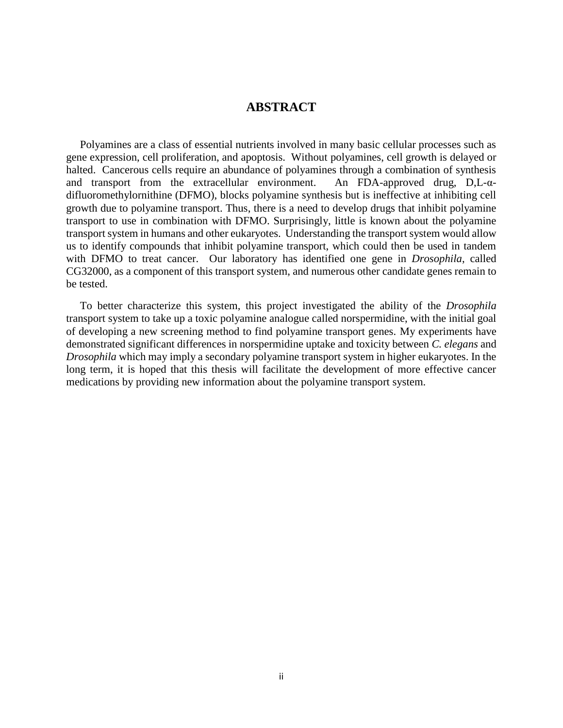## **ABSTRACT**

 Polyamines are a class of essential nutrients involved in many basic cellular processes such as gene expression, cell proliferation, and apoptosis. Without polyamines, cell growth is delayed or halted. Cancerous cells require an abundance of polyamines through a combination of synthesis and transport from the extracellular environment. An FDA-approved drug, D,L-αdifluoromethylornithine (DFMO), blocks polyamine synthesis but is ineffective at inhibiting cell growth due to polyamine transport. Thus, there is a need to develop drugs that inhibit polyamine transport to use in combination with DFMO. Surprisingly, little is known about the polyamine transport system in humans and other eukaryotes. Understanding the transport system would allow us to identify compounds that inhibit polyamine transport, which could then be used in tandem with DFMO to treat cancer. Our laboratory has identified one gene in *Drosophila*, called CG32000, as a component of this transport system, and numerous other candidate genes remain to be tested.

 To better characterize this system, this project investigated the ability of the *Drosophila* transport system to take up a toxic polyamine analogue called norspermidine, with the initial goal of developing a new screening method to find polyamine transport genes*.* My experiments have demonstrated significant differences in norspermidine uptake and toxicity between *C. elegans* and *Drosophila* which may imply a secondary polyamine transport system in higher eukaryotes. In the long term, it is hoped that this thesis will facilitate the development of more effective cancer medications by providing new information about the polyamine transport system.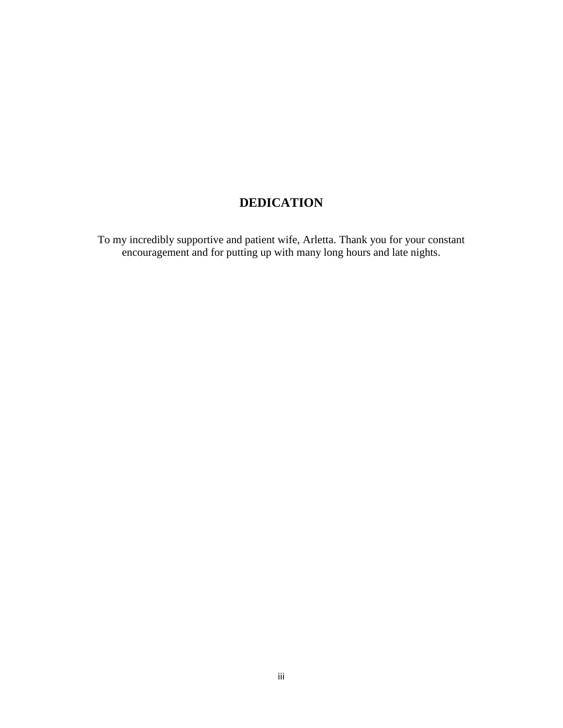# **DEDICATION**

To my incredibly supportive and patient wife, Arletta. Thank you for your constant encouragement and for putting up with many long hours and late nights.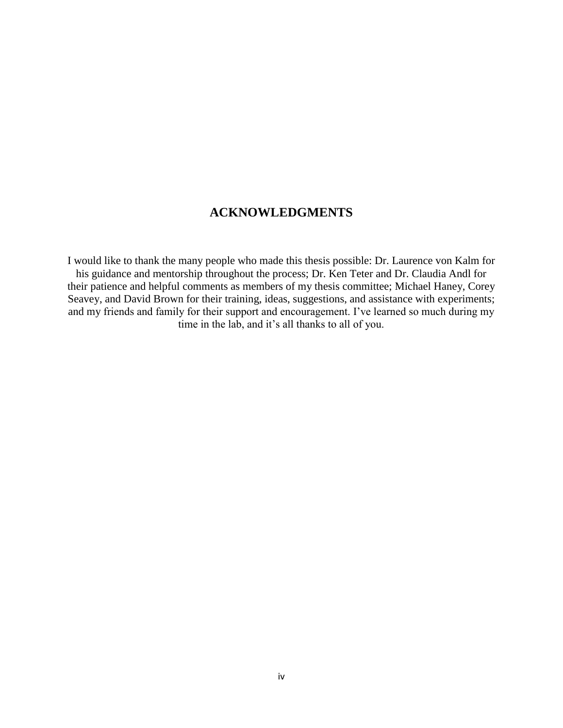# **ACKNOWLEDGMENTS**

I would like to thank the many people who made this thesis possible: Dr. Laurence von Kalm for his guidance and mentorship throughout the process; Dr. Ken Teter and Dr. Claudia Andl for their patience and helpful comments as members of my thesis committee; Michael Haney, Corey Seavey, and David Brown for their training, ideas, suggestions, and assistance with experiments; and my friends and family for their support and encouragement. I've learned so much during my time in the lab, and it's all thanks to all of you.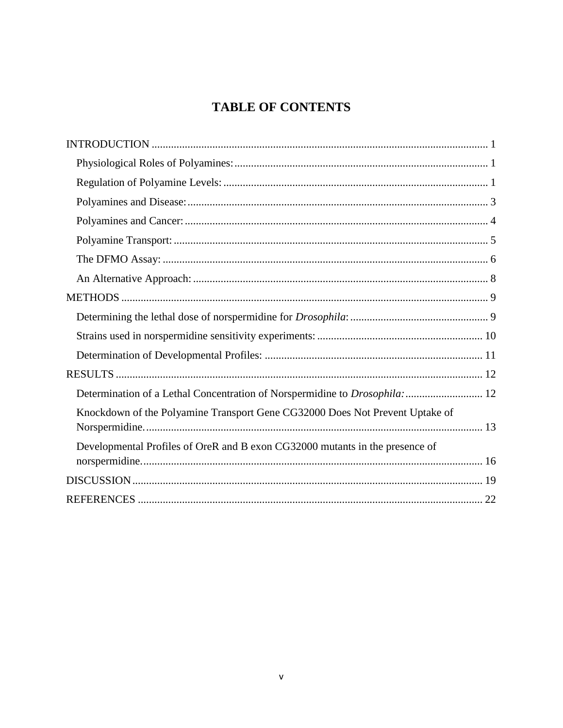# **TABLE OF CONTENTS**

| Determination of a Lethal Concentration of Norspermidine to Drosophila:  12  |  |
|------------------------------------------------------------------------------|--|
| Knockdown of the Polyamine Transport Gene CG32000 Does Not Prevent Uptake of |  |
| Developmental Profiles of OreR and B exon CG32000 mutants in the presence of |  |
|                                                                              |  |
|                                                                              |  |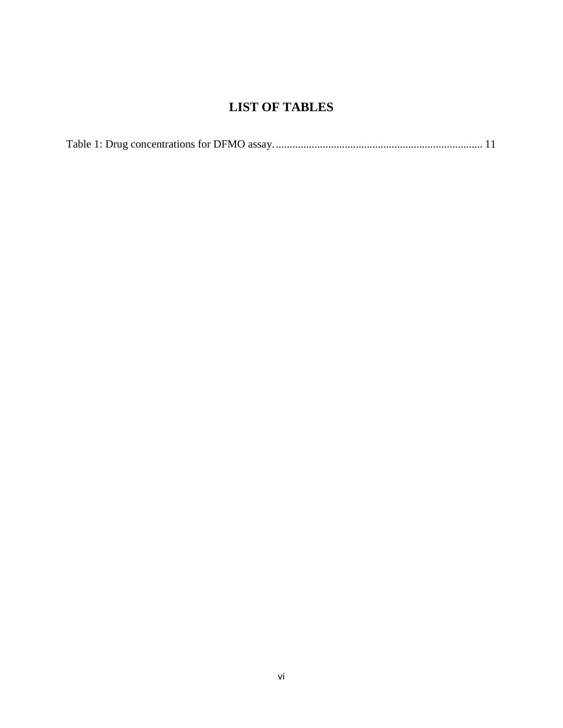# **LIST OF TABLES**

|--|--|--|--|--|--|--|--|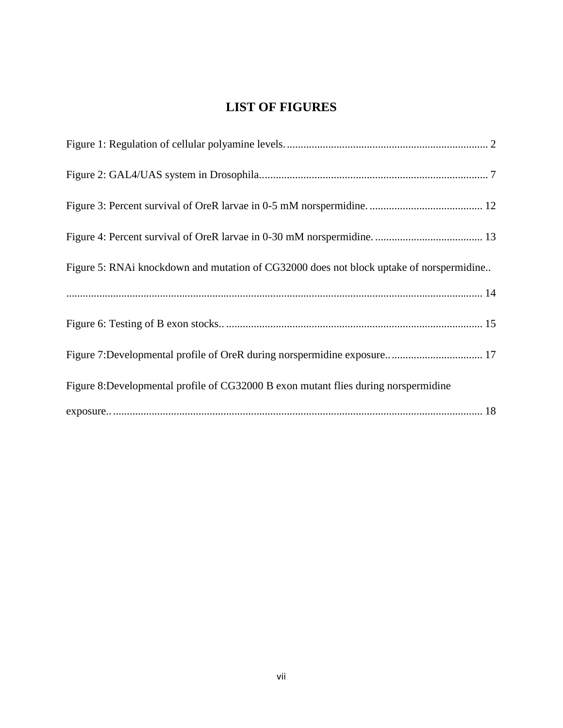# **LIST OF FIGURES**

| Figure 5: RNAi knockdown and mutation of CG32000 does not block uptake of norspermidine |
|-----------------------------------------------------------------------------------------|
|                                                                                         |
|                                                                                         |
| Figure 7: Developmental profile of OreR during norspermidine exposure 17                |
| Figure 8:Developmental profile of CG32000 B exon mutant flies during norspermidine      |
|                                                                                         |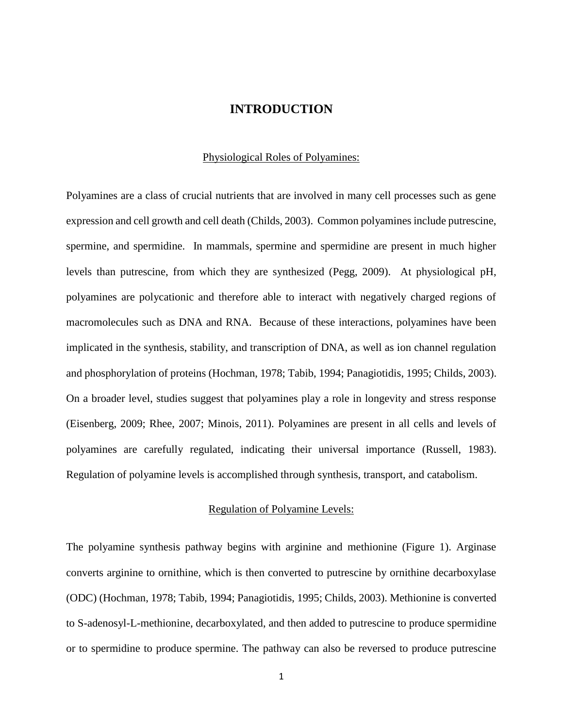#### **INTRODUCTION**

#### Physiological Roles of Polyamines:

<span id="page-8-1"></span><span id="page-8-0"></span>Polyamines are a class of crucial nutrients that are involved in many cell processes such as gene expression and cell growth and cell death (Childs, 2003). Common polyamines include putrescine, spermine, and spermidine. In mammals, spermine and spermidine are present in much higher levels than putrescine, from which they are synthesized (Pegg, 2009). At physiological pH, polyamines are polycationic and therefore able to interact with negatively charged regions of macromolecules such as DNA and RNA. Because of these interactions, polyamines have been implicated in the synthesis, stability, and transcription of DNA, as well as ion channel regulation and phosphorylation of proteins (Hochman, 1978; Tabib, 1994; Panagiotidis, 1995; Childs, 2003). On a broader level, studies suggest that polyamines play a role in longevity and stress response (Eisenberg, 2009; Rhee, 2007; Minois, 2011). Polyamines are present in all cells and levels of polyamines are carefully regulated, indicating their universal importance (Russell, 1983). Regulation of polyamine levels is accomplished through synthesis, transport, and catabolism.

#### Regulation of Polyamine Levels:

<span id="page-8-2"></span>The polyamine synthesis pathway begins with arginine and methionine (Figure 1). Arginase converts arginine to ornithine, which is then converted to putrescine by ornithine decarboxylase (ODC) (Hochman, 1978; Tabib, 1994; Panagiotidis, 1995; Childs, 2003). Methionine is converted to S-adenosyl-L-methionine, decarboxylated, and then added to putrescine to produce spermidine or to spermidine to produce spermine. The pathway can also be reversed to produce putrescine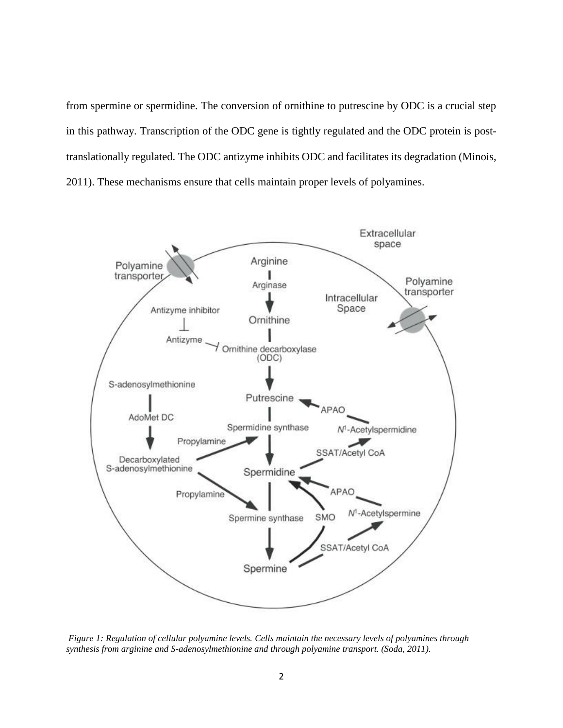from spermine or spermidine. The conversion of ornithine to putrescine by ODC is a crucial step in this pathway. Transcription of the ODC gene is tightly regulated and the ODC protein is posttranslationally regulated. The ODC antizyme inhibits ODC and facilitates its degradation (Minois, 2011). These mechanisms ensure that cells maintain proper levels of polyamines.



<span id="page-9-0"></span>*Figure 1: Regulation of cellular polyamine levels. Cells maintain the necessary levels of polyamines through synthesis from arginine and S-adenosylmethionine and through polyamine transport. (Soda, 2011).*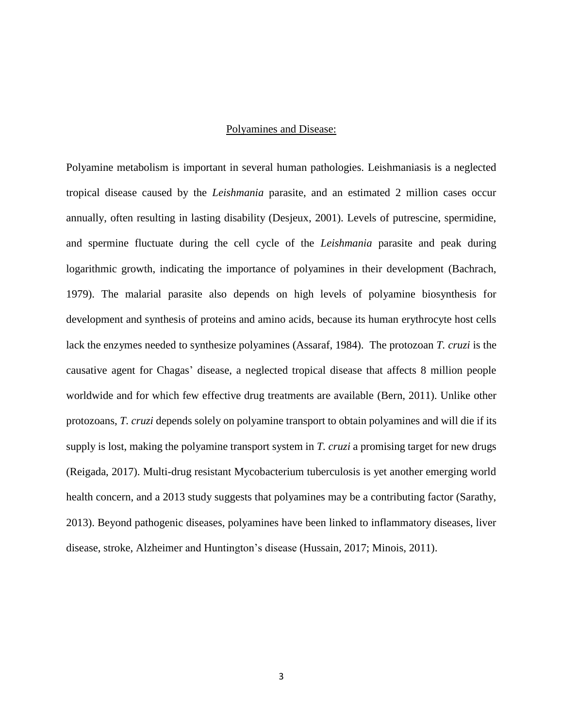#### Polyamines and Disease:

<span id="page-10-0"></span>Polyamine metabolism is important in several human pathologies. Leishmaniasis is a neglected tropical disease caused by the *Leishmania* parasite, and an estimated 2 million cases occur annually, often resulting in lasting disability (Desjeux, 2001). Levels of putrescine, spermidine, and spermine fluctuate during the cell cycle of the *Leishmania* parasite and peak during logarithmic growth, indicating the importance of polyamines in their development (Bachrach, 1979). The malarial parasite also depends on high levels of polyamine biosynthesis for development and synthesis of proteins and amino acids, because its human erythrocyte host cells lack the enzymes needed to synthesize polyamines (Assaraf, 1984). The protozoan *T. cruzi* is the causative agent for Chagas' disease, a neglected tropical disease that affects 8 million people worldwide and for which few effective drug treatments are available (Bern, 2011). Unlike other protozoans, *T. cruzi* depends solely on polyamine transport to obtain polyamines and will die if its supply is lost, making the polyamine transport system in *T. cruzi* a promising target for new drugs (Reigada, 2017). Multi-drug resistant Mycobacterium tuberculosis is yet another emerging world health concern, and a 2013 study suggests that polyamines may be a contributing factor (Sarathy, 2013). Beyond pathogenic diseases, polyamines have been linked to inflammatory diseases, liver disease, stroke, Alzheimer and Huntington's disease (Hussain, 2017; Minois, 2011).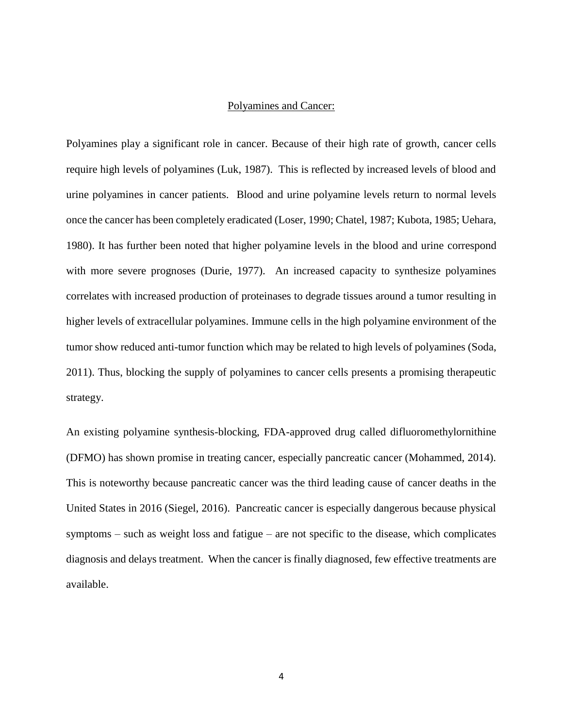#### Polyamines and Cancer:

<span id="page-11-0"></span>Polyamines play a significant role in cancer. Because of their high rate of growth, cancer cells require high levels of polyamines (Luk, 1987). This is reflected by increased levels of blood and urine polyamines in cancer patients. Blood and urine polyamine levels return to normal levels once the cancer has been completely eradicated (Loser, 1990; Chatel, 1987; Kubota, 1985; Uehara, 1980). It has further been noted that higher polyamine levels in the blood and urine correspond with more severe prognoses (Durie, 1977). An increased capacity to synthesize polyamines correlates with increased production of proteinases to degrade tissues around a tumor resulting in higher levels of extracellular polyamines. Immune cells in the high polyamine environment of the tumor show reduced anti-tumor function which may be related to high levels of polyamines (Soda, 2011). Thus, blocking the supply of polyamines to cancer cells presents a promising therapeutic strategy.

An existing polyamine synthesis-blocking, FDA-approved drug called difluoromethylornithine (DFMO) has shown promise in treating cancer, especially pancreatic cancer (Mohammed, 2014). This is noteworthy because pancreatic cancer was the third leading cause of cancer deaths in the United States in 2016 (Siegel, 2016). Pancreatic cancer is especially dangerous because physical symptoms – such as weight loss and fatigue – are not specific to the disease, which complicates diagnosis and delays treatment. When the cancer is finally diagnosed, few effective treatments are available.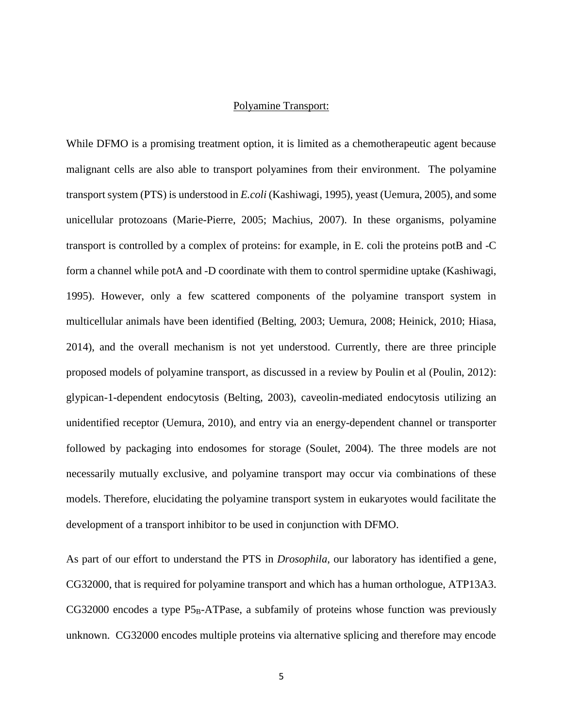#### Polyamine Transport:

<span id="page-12-0"></span>While DFMO is a promising treatment option, it is limited as a chemotherapeutic agent because malignant cells are also able to transport polyamines from their environment. The polyamine transport system (PTS) is understood in *E.coli* (Kashiwagi, 1995), yeast (Uemura, 2005), and some unicellular protozoans (Marie-Pierre, 2005; Machius, 2007). In these organisms, polyamine transport is controlled by a complex of proteins: for example, in E. coli the proteins potB and -C form a channel while potA and -D coordinate with them to control spermidine uptake (Kashiwagi, 1995). However, only a few scattered components of the polyamine transport system in multicellular animals have been identified (Belting, 2003; Uemura, 2008; Heinick, 2010; Hiasa, 2014), and the overall mechanism is not yet understood. Currently, there are three principle proposed models of polyamine transport, as discussed in a review by Poulin et al (Poulin, 2012): glypican-1-dependent endocytosis (Belting, 2003), caveolin-mediated endocytosis utilizing an unidentified receptor (Uemura, 2010), and entry via an energy-dependent channel or transporter followed by packaging into endosomes for storage (Soulet, 2004). The three models are not necessarily mutually exclusive, and polyamine transport may occur via combinations of these models. Therefore, elucidating the polyamine transport system in eukaryotes would facilitate the development of a transport inhibitor to be used in conjunction with DFMO.

As part of our effort to understand the PTS in *Drosophila*, our laboratory has identified a gene, CG32000, that is required for polyamine transport and which has a human orthologue, ATP13A3.  $CG32000$  encodes a type  $P5<sub>B</sub>$ -ATPase, a subfamily of proteins whose function was previously unknown. CG32000 encodes multiple proteins via alternative splicing and therefore may encode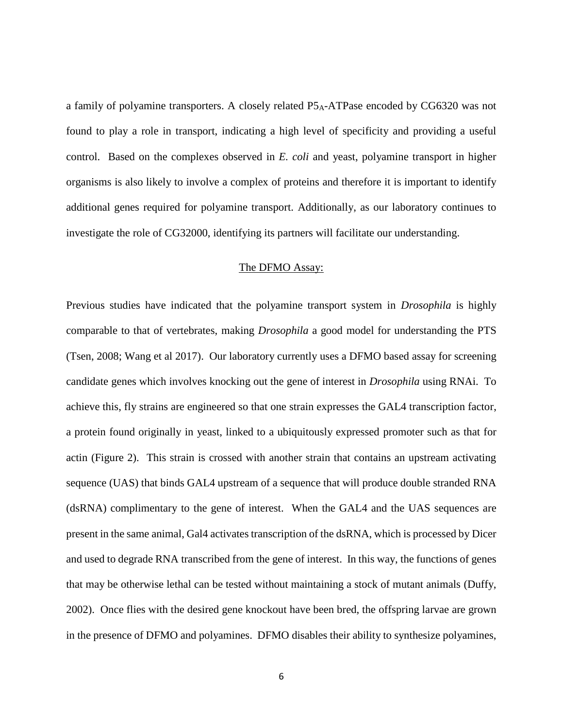a family of polyamine transporters. A closely related P5A-ATPase encoded by CG6320 was not found to play a role in transport, indicating a high level of specificity and providing a useful control. Based on the complexes observed in *E. coli* and yeast, polyamine transport in higher organisms is also likely to involve a complex of proteins and therefore it is important to identify additional genes required for polyamine transport. Additionally, as our laboratory continues to investigate the role of CG32000, identifying its partners will facilitate our understanding.

#### The DFMO Assay:

<span id="page-13-0"></span>Previous studies have indicated that the polyamine transport system in *Drosophila* is highly comparable to that of vertebrates, making *Drosophila* a good model for understanding the PTS (Tsen, 2008; Wang et al 2017). Our laboratory currently uses a DFMO based assay for screening candidate genes which involves knocking out the gene of interest in *Drosophila* using RNAi. To achieve this, fly strains are engineered so that one strain expresses the GAL4 transcription factor, a protein found originally in yeast, linked to a ubiquitously expressed promoter such as that for actin (Figure 2). This strain is crossed with another strain that contains an upstream activating sequence (UAS) that binds GAL4 upstream of a sequence that will produce double stranded RNA (dsRNA) complimentary to the gene of interest. When the GAL4 and the UAS sequences are present in the same animal, Gal4 activates transcription of the dsRNA, which is processed by Dicer and used to degrade RNA transcribed from the gene of interest. In this way, the functions of genes that may be otherwise lethal can be tested without maintaining a stock of mutant animals (Duffy, 2002). Once flies with the desired gene knockout have been bred, the offspring larvae are grown in the presence of DFMO and polyamines. DFMO disables their ability to synthesize polyamines,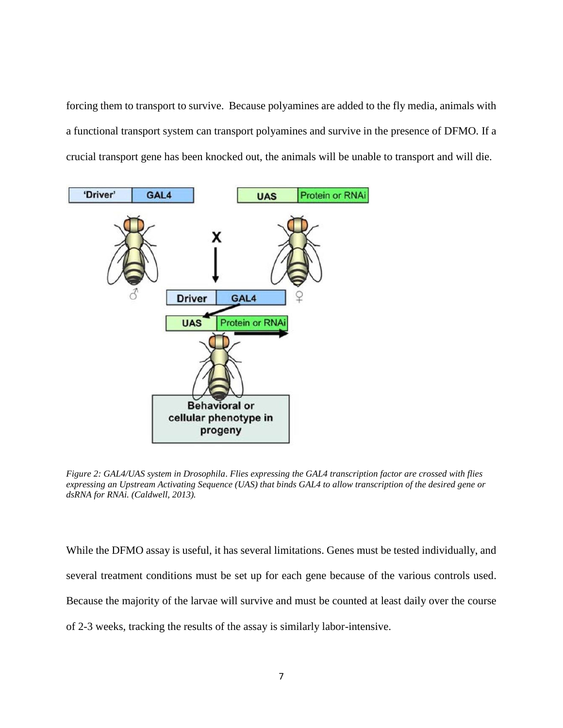forcing them to transport to survive. Because polyamines are added to the fly media, animals with a functional transport system can transport polyamines and survive in the presence of DFMO. If a crucial transport gene has been knocked out, the animals will be unable to transport and will die.



<span id="page-14-0"></span>*Figure 2: GAL4/UAS system in Drosophila*. *Flies expressing the GAL4 transcription factor are crossed with flies expressing an Upstream Activating Sequence (UAS) that binds GAL4 to allow transcription of the desired gene or dsRNA for RNAi. (Caldwell, 2013).*

While the DFMO assay is useful, it has several limitations. Genes must be tested individually, and several treatment conditions must be set up for each gene because of the various controls used. Because the majority of the larvae will survive and must be counted at least daily over the course of 2-3 weeks, tracking the results of the assay is similarly labor-intensive.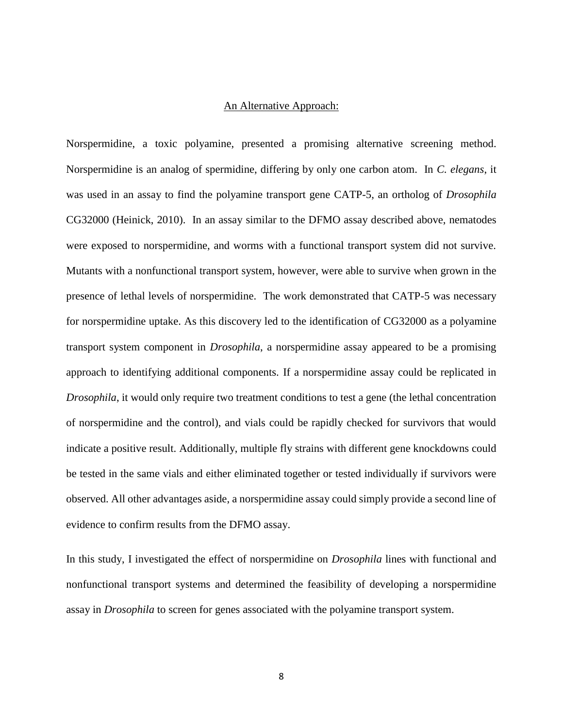#### An Alternative Approach:

<span id="page-15-0"></span>Norspermidine, a toxic polyamine, presented a promising alternative screening method. Norspermidine is an analog of spermidine, differing by only one carbon atom. In *C. elegans*, it was used in an assay to find the polyamine transport gene CATP-5, an ortholog of *Drosophila* CG32000 (Heinick, 2010). In an assay similar to the DFMO assay described above, nematodes were exposed to norspermidine, and worms with a functional transport system did not survive. Mutants with a nonfunctional transport system, however, were able to survive when grown in the presence of lethal levels of norspermidine. The work demonstrated that CATP-5 was necessary for norspermidine uptake. As this discovery led to the identification of CG32000 as a polyamine transport system component in *Drosophila*, a norspermidine assay appeared to be a promising approach to identifying additional components. If a norspermidine assay could be replicated in *Drosophila*, it would only require two treatment conditions to test a gene (the lethal concentration of norspermidine and the control), and vials could be rapidly checked for survivors that would indicate a positive result. Additionally, multiple fly strains with different gene knockdowns could be tested in the same vials and either eliminated together or tested individually if survivors were observed. All other advantages aside, a norspermidine assay could simply provide a second line of evidence to confirm results from the DFMO assay.

In this study, I investigated the effect of norspermidine on *Drosophila* lines with functional and nonfunctional transport systems and determined the feasibility of developing a norspermidine assay in *Drosophila* to screen for genes associated with the polyamine transport system.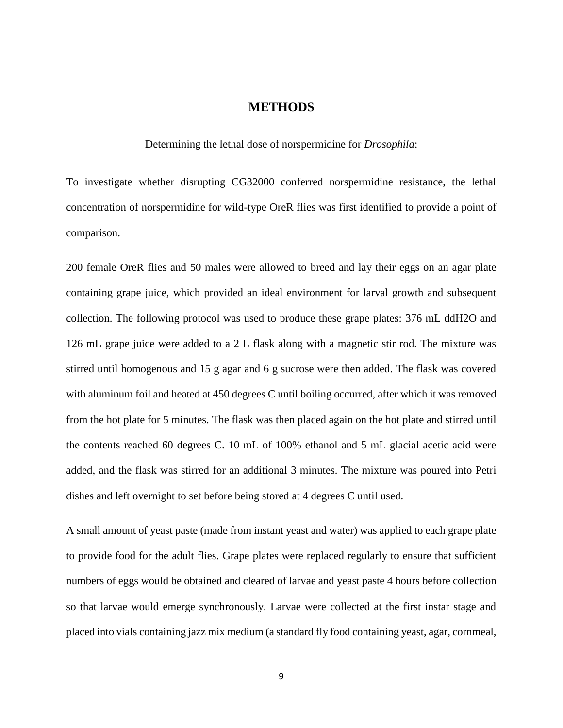#### **METHODS**

#### Determining the lethal dose of norspermidine for *Drosophila*:

<span id="page-16-1"></span><span id="page-16-0"></span>To investigate whether disrupting CG32000 conferred norspermidine resistance, the lethal concentration of norspermidine for wild-type OreR flies was first identified to provide a point of comparison.

200 female OreR flies and 50 males were allowed to breed and lay their eggs on an agar plate containing grape juice, which provided an ideal environment for larval growth and subsequent collection. The following protocol was used to produce these grape plates: 376 mL ddH2O and 126 mL grape juice were added to a 2 L flask along with a magnetic stir rod. The mixture was stirred until homogenous and 15 g agar and 6 g sucrose were then added. The flask was covered with aluminum foil and heated at 450 degrees C until boiling occurred, after which it was removed from the hot plate for 5 minutes. The flask was then placed again on the hot plate and stirred until the contents reached 60 degrees C. 10 mL of 100% ethanol and 5 mL glacial acetic acid were added, and the flask was stirred for an additional 3 minutes. The mixture was poured into Petri dishes and left overnight to set before being stored at 4 degrees C until used.

A small amount of yeast paste (made from instant yeast and water) was applied to each grape plate to provide food for the adult flies. Grape plates were replaced regularly to ensure that sufficient numbers of eggs would be obtained and cleared of larvae and yeast paste 4 hours before collection so that larvae would emerge synchronously. Larvae were collected at the first instar stage and placed into vials containing jazz mix medium (a standard fly food containing yeast, agar, cornmeal,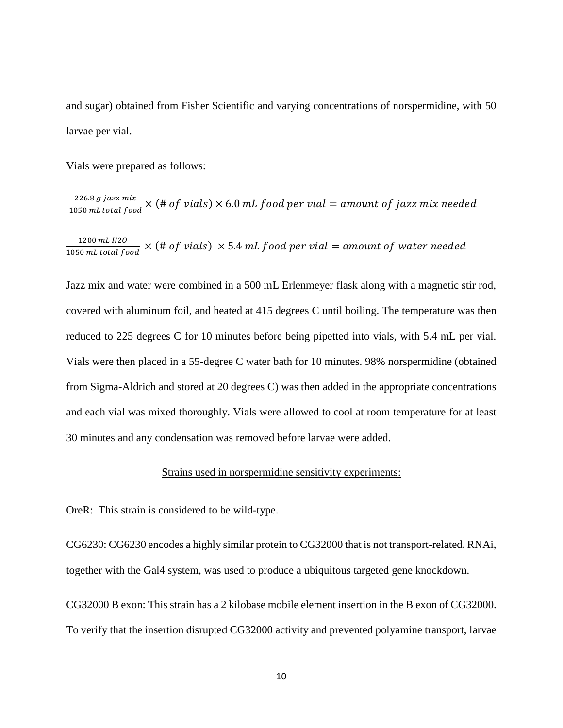and sugar) obtained from Fisher Scientific and varying concentrations of norspermidine, with 50 larvae per vial.

Vials were prepared as follows:

226.8 g jazz mix  $\frac{226.6 \text{ g}}{1050 \text{ mL total food}} \times (\text{# of } trials) \times 6.0 \text{ mL food per vial} = \text{amount of } jazz \text{ mix needed}$ 

 $1200$   $mL$   $H2O$  $\frac{1200 \text{ mL } H20}{1050 \text{ mL } total food} \times (\text{# of } trials) \times 5.4 \text{ mL food per vial = amount of water needed}$ 

Jazz mix and water were combined in a 500 mL Erlenmeyer flask along with a magnetic stir rod, covered with aluminum foil, and heated at 415 degrees C until boiling. The temperature was then reduced to 225 degrees C for 10 minutes before being pipetted into vials, with 5.4 mL per vial. Vials were then placed in a 55-degree C water bath for 10 minutes. 98% norspermidine (obtained from Sigma-Aldrich and stored at 20 degrees C) was then added in the appropriate concentrations and each vial was mixed thoroughly. Vials were allowed to cool at room temperature for at least 30 minutes and any condensation was removed before larvae were added.

#### Strains used in norspermidine sensitivity experiments:

<span id="page-17-0"></span>OreR: This strain is considered to be wild-type.

CG6230: CG6230 encodes a highly similar protein to CG32000 that is not transport-related. RNAi, together with the Gal4 system, was used to produce a ubiquitous targeted gene knockdown.

CG32000 B exon: This strain has a 2 kilobase mobile element insertion in the B exon of CG32000. To verify that the insertion disrupted CG32000 activity and prevented polyamine transport, larvae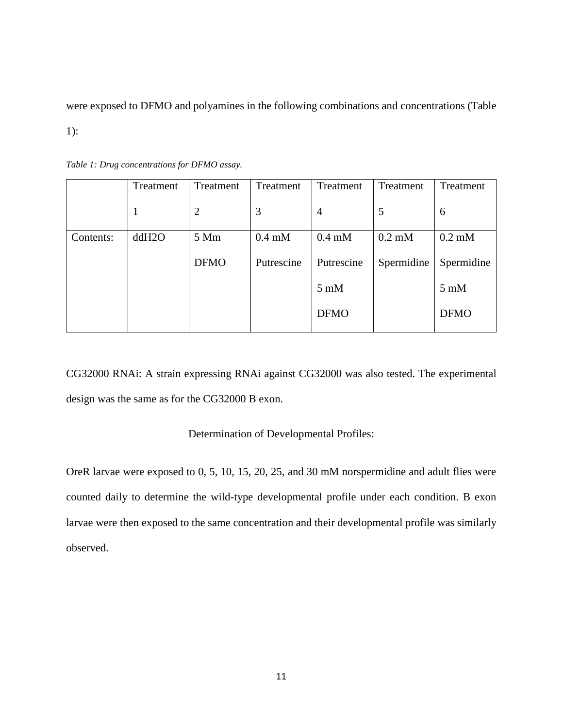were exposed to DFMO and polyamines in the following combinations and concentrations (Table

1):

|           | Treatment | Treatment      | Treatment        | Treatment      | Treatment        | Treatment                 |
|-----------|-----------|----------------|------------------|----------------|------------------|---------------------------|
|           | 1         | $\overline{2}$ | 3                | $\overline{4}$ | 5                | 6                         |
| Contents: | ddH2O     | 5 Mm           | $0.4 \text{ mM}$ | $0.4$ mM       | $0.2 \text{ mM}$ | $0.2 \text{ }\mathrm{mM}$ |
|           |           | <b>DFMO</b>    | Putrescine       | Putrescine     | Spermidine       | Spermidine                |
|           |           |                |                  | $5 \text{ mM}$ |                  | $5 \text{ mM}$            |
|           |           |                |                  | <b>DFMO</b>    |                  | <b>DFMO</b>               |

<span id="page-18-1"></span>*Table 1: Drug concentrations for DFMO assay.*

CG32000 RNAi: A strain expressing RNAi against CG32000 was also tested. The experimental design was the same as for the CG32000 B exon.

### Determination of Developmental Profiles:

<span id="page-18-0"></span>OreR larvae were exposed to 0, 5, 10, 15, 20, 25, and 30 mM norspermidine and adult flies were counted daily to determine the wild-type developmental profile under each condition. B exon larvae were then exposed to the same concentration and their developmental profile was similarly observed.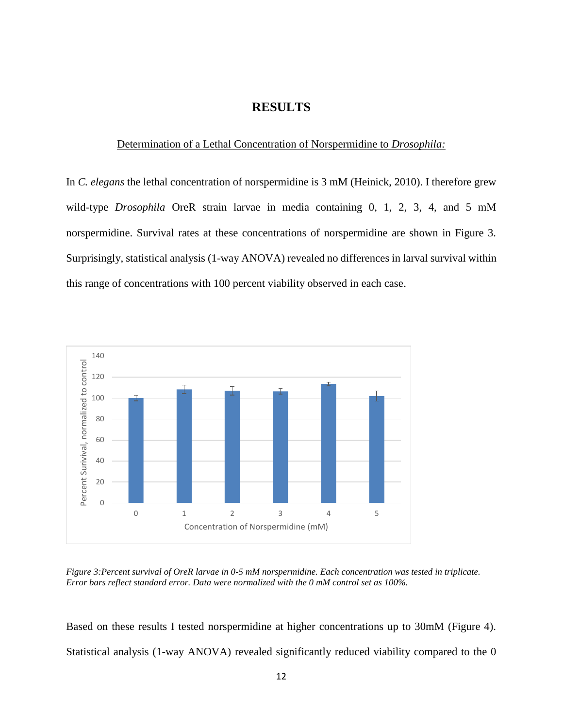## **RESULTS**

#### <span id="page-19-0"></span>Determination of a Lethal Concentration of Norspermidine to *Drosophila:*

<span id="page-19-1"></span>In *C. elegans* the lethal concentration of norspermidine is 3 mM (Heinick, 2010). I therefore grew wild-type *Drosophila* OreR strain larvae in media containing 0, 1, 2, 3, 4, and 5 mM norspermidine. Survival rates at these concentrations of norspermidine are shown in Figure 3. Surprisingly, statistical analysis (1-way ANOVA) revealed no differences in larval survival within this range of concentrations with 100 percent viability observed in each case.



<span id="page-19-2"></span>*Figure 3:Percent survival of OreR larvae in 0-5 mM norspermidine. Each concentration was tested in triplicate. Error bars reflect standard error. Data were normalized with the 0 mM control set as 100%.* 

Based on these results I tested norspermidine at higher concentrations up to 30mM (Figure 4). Statistical analysis (1-way ANOVA) revealed significantly reduced viability compared to the 0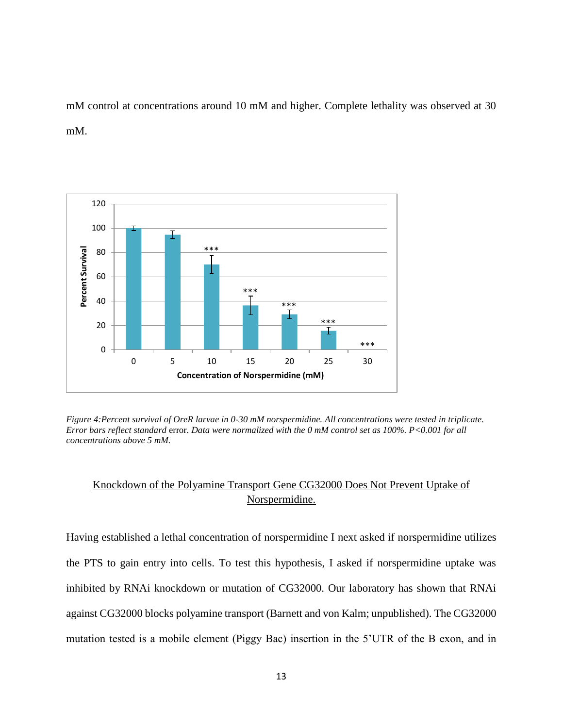mM control at concentrations around 10 mM and higher. Complete lethality was observed at 30 mM.



<span id="page-20-1"></span>*Figure 4:Percent survival of OreR larvae in 0-30 mM norspermidine. All concentrations were tested in triplicate. Error bars reflect standard* error*. Data were normalized with the 0 mM control set as 100%. P<0.001 for all concentrations above 5 mM.*

# <span id="page-20-0"></span>Knockdown of the Polyamine Transport Gene CG32000 Does Not Prevent Uptake of Norspermidine.

Having established a lethal concentration of norspermidine I next asked if norspermidine utilizes the PTS to gain entry into cells. To test this hypothesis, I asked if norspermidine uptake was inhibited by RNAi knockdown or mutation of CG32000. Our laboratory has shown that RNAi against CG32000 blocks polyamine transport (Barnett and von Kalm; unpublished). The CG32000 mutation tested is a mobile element (Piggy Bac) insertion in the 5'UTR of the B exon, and in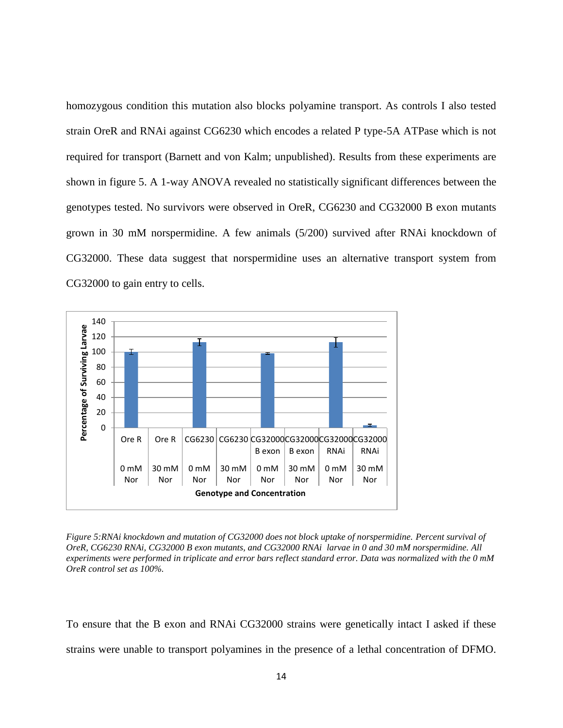homozygous condition this mutation also blocks polyamine transport. As controls I also tested strain OreR and RNAi against CG6230 which encodes a related P type-5A ATPase which is not required for transport (Barnett and von Kalm; unpublished). Results from these experiments are shown in figure 5. A 1-way ANOVA revealed no statistically significant differences between the genotypes tested. No survivors were observed in OreR, CG6230 and CG32000 B exon mutants grown in 30 mM norspermidine. A few animals (5/200) survived after RNAi knockdown of CG32000. These data suggest that norspermidine uses an alternative transport system from CG32000 to gain entry to cells.



<span id="page-21-0"></span>*Figure 5:RNAi knockdown and mutation of CG32000 does not block uptake of norspermidine. Percent survival of OreR, CG6230 RNAi, CG32000 B exon mutants, and CG32000 RNAi larvae in 0 and 30 mM norspermidine. All experiments were performed in triplicate and error bars reflect standard error. Data was normalized with the 0 mM OreR control set as 100%.* 

To ensure that the B exon and RNAi CG32000 strains were genetically intact I asked if these strains were unable to transport polyamines in the presence of a lethal concentration of DFMO.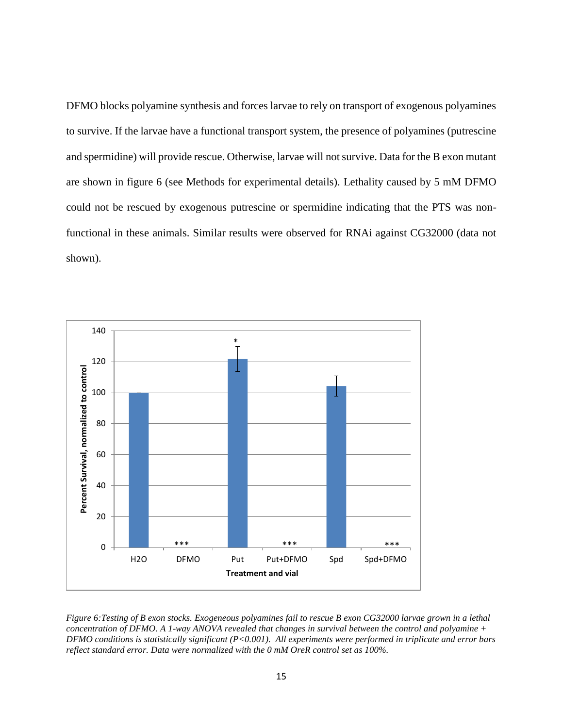DFMO blocks polyamine synthesis and forces larvae to rely on transport of exogenous polyamines to survive. If the larvae have a functional transport system, the presence of polyamines (putrescine and spermidine) will provide rescue. Otherwise, larvae will not survive. Data for the B exon mutant are shown in figure 6 (see Methods for experimental details). Lethality caused by 5 mM DFMO could not be rescued by exogenous putrescine or spermidine indicating that the PTS was nonfunctional in these animals. Similar results were observed for RNAi against CG32000 (data not shown).



<span id="page-22-0"></span>*Figure 6:Testing of B exon stocks. Exogeneous polyamines fail to rescue B exon CG32000 larvae grown in a lethal concentration of DFMO. A 1-way ANOVA revealed that changes in survival between the control and polyamine + DFMO conditions is statistically significant (P<0.001). All experiments were performed in triplicate and error bars reflect standard error. Data were normalized with the 0 mM OreR control set as 100%.*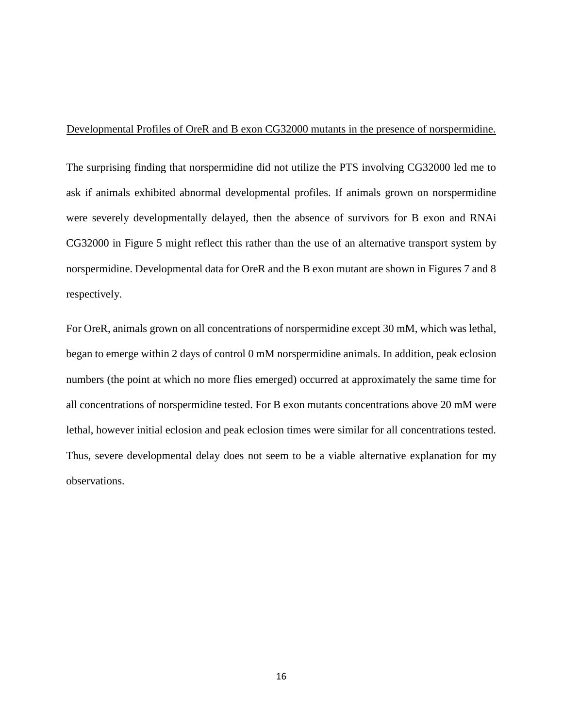#### <span id="page-23-0"></span>Developmental Profiles of OreR and B exon CG32000 mutants in the presence of norspermidine.

The surprising finding that norspermidine did not utilize the PTS involving CG32000 led me to ask if animals exhibited abnormal developmental profiles. If animals grown on norspermidine were severely developmentally delayed, then the absence of survivors for B exon and RNAi CG32000 in Figure 5 might reflect this rather than the use of an alternative transport system by norspermidine. Developmental data for OreR and the B exon mutant are shown in Figures 7 and 8 respectively.

For OreR, animals grown on all concentrations of norspermidine except 30 mM, which was lethal, began to emerge within 2 days of control 0 mM norspermidine animals. In addition, peak eclosion numbers (the point at which no more flies emerged) occurred at approximately the same time for all concentrations of norspermidine tested. For B exon mutants concentrations above 20 mM were lethal, however initial eclosion and peak eclosion times were similar for all concentrations tested. Thus, severe developmental delay does not seem to be a viable alternative explanation for my observations.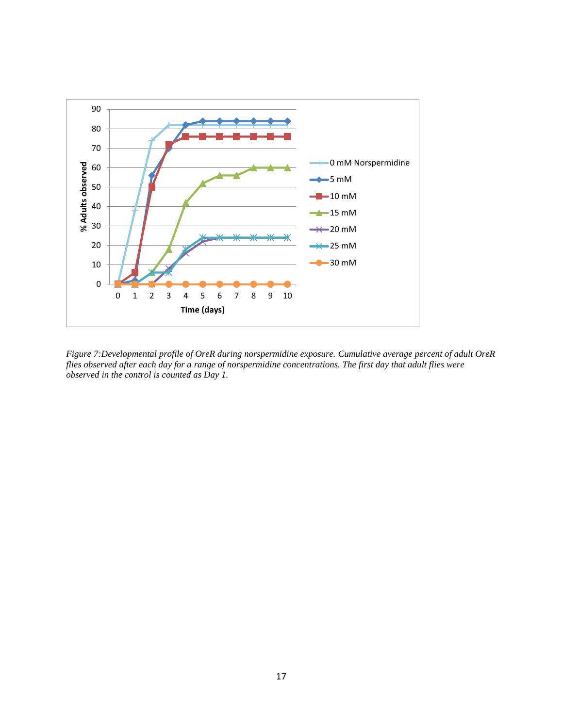

<span id="page-24-0"></span>*Figure 7:Developmental profile of OreR during norspermidine exposure. Cumulative average percent of adult OreR flies observed after each day for a range of norspermidine concentrations. The first day that adult flies were observed in the control is counted as Day 1.*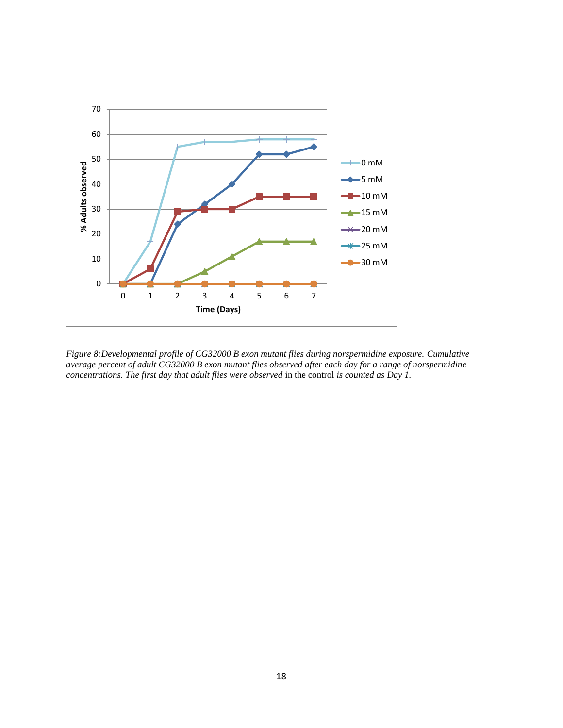

<span id="page-25-0"></span>*Figure 8:Developmental profile of CG32000 B exon mutant flies during norspermidine exposure. Cumulative average percent of adult CG32000 B exon mutant flies observed after each day for a range of norspermidine concentrations. The first day that adult flies were observed* in the control *is counted as Day 1.*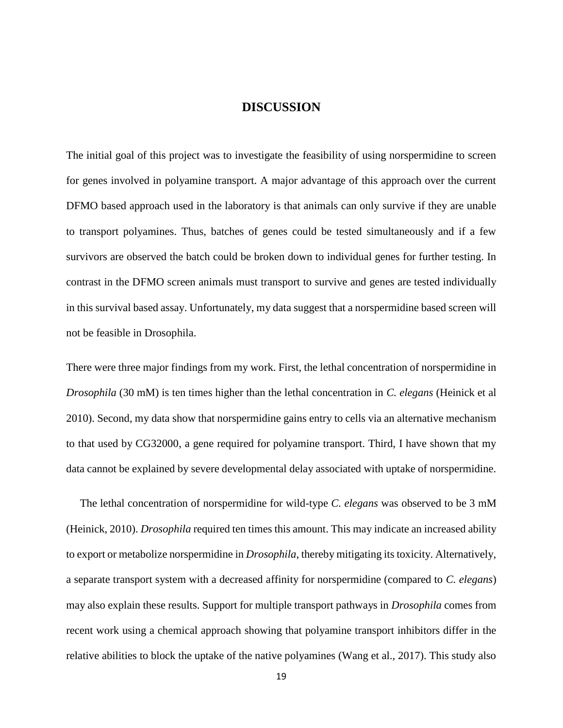#### **DISCUSSION**

<span id="page-26-0"></span>The initial goal of this project was to investigate the feasibility of using norspermidine to screen for genes involved in polyamine transport. A major advantage of this approach over the current DFMO based approach used in the laboratory is that animals can only survive if they are unable to transport polyamines. Thus, batches of genes could be tested simultaneously and if a few survivors are observed the batch could be broken down to individual genes for further testing. In contrast in the DFMO screen animals must transport to survive and genes are tested individually in this survival based assay. Unfortunately, my data suggest that a norspermidine based screen will not be feasible in Drosophila.

There were three major findings from my work. First, the lethal concentration of norspermidine in *Drosophila* (30 mM) is ten times higher than the lethal concentration in *C. elegans* (Heinick et al 2010). Second, my data show that norspermidine gains entry to cells via an alternative mechanism to that used by CG32000, a gene required for polyamine transport. Third, I have shown that my data cannot be explained by severe developmental delay associated with uptake of norspermidine.

 The lethal concentration of norspermidine for wild-type *C. elegans* was observed to be 3 mM (Heinick, 2010). *Drosophila* required ten times this amount. This may indicate an increased ability to export or metabolize norspermidine in *Drosophila*, thereby mitigating its toxicity. Alternatively, a separate transport system with a decreased affinity for norspermidine (compared to *C. elegans*) may also explain these results. Support for multiple transport pathways in *Drosophila* comes from recent work using a chemical approach showing that polyamine transport inhibitors differ in the relative abilities to block the uptake of the native polyamines (Wang et al., 2017). This study also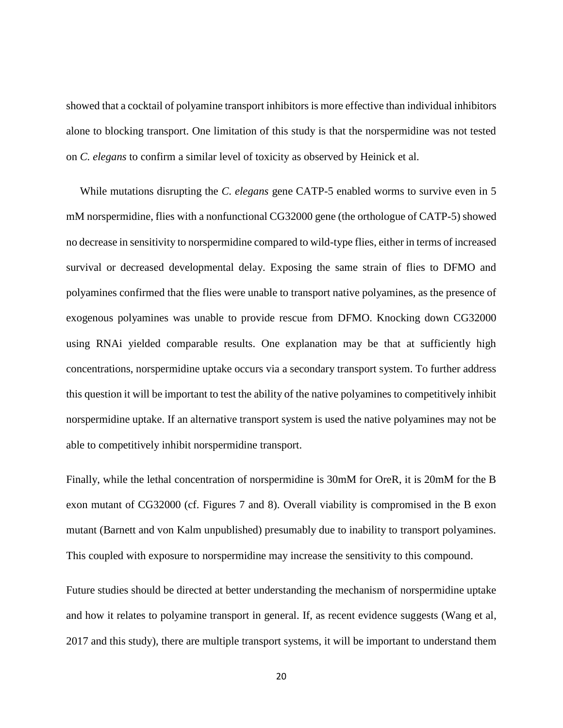showed that a cocktail of polyamine transport inhibitors is more effective than individual inhibitors alone to blocking transport. One limitation of this study is that the norspermidine was not tested on *C. elegans* to confirm a similar level of toxicity as observed by Heinick et al.

 While mutations disrupting the *C. elegans* gene CATP-5 enabled worms to survive even in 5 mM norspermidine, flies with a nonfunctional CG32000 gene (the orthologue of CATP-5) showed no decrease in sensitivity to norspermidine compared to wild-type flies, either in terms of increased survival or decreased developmental delay. Exposing the same strain of flies to DFMO and polyamines confirmed that the flies were unable to transport native polyamines, as the presence of exogenous polyamines was unable to provide rescue from DFMO. Knocking down CG32000 using RNAi yielded comparable results. One explanation may be that at sufficiently high concentrations, norspermidine uptake occurs via a secondary transport system. To further address this question it will be important to test the ability of the native polyamines to competitively inhibit norspermidine uptake. If an alternative transport system is used the native polyamines may not be able to competitively inhibit norspermidine transport.

Finally, while the lethal concentration of norspermidine is 30mM for OreR, it is 20mM for the B exon mutant of CG32000 (cf. Figures 7 and 8). Overall viability is compromised in the B exon mutant (Barnett and von Kalm unpublished) presumably due to inability to transport polyamines. This coupled with exposure to norspermidine may increase the sensitivity to this compound.

Future studies should be directed at better understanding the mechanism of norspermidine uptake and how it relates to polyamine transport in general. If, as recent evidence suggests (Wang et al, 2017 and this study), there are multiple transport systems, it will be important to understand them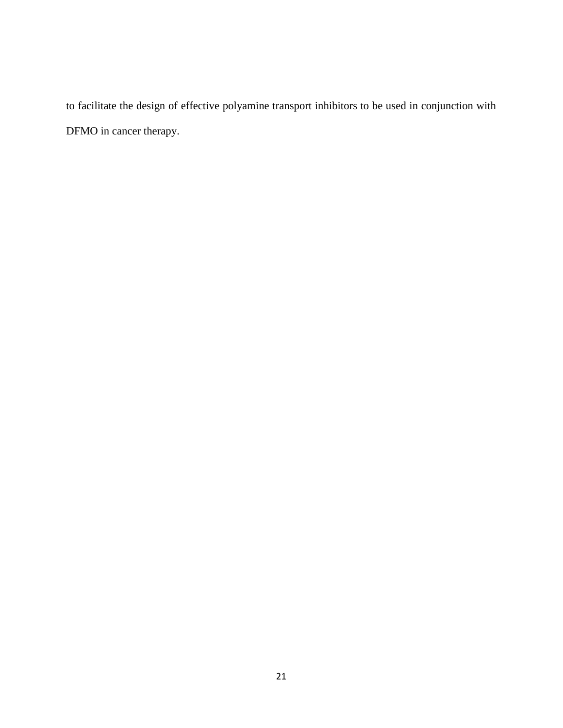to facilitate the design of effective polyamine transport inhibitors to be used in conjunction with DFMO in cancer therapy.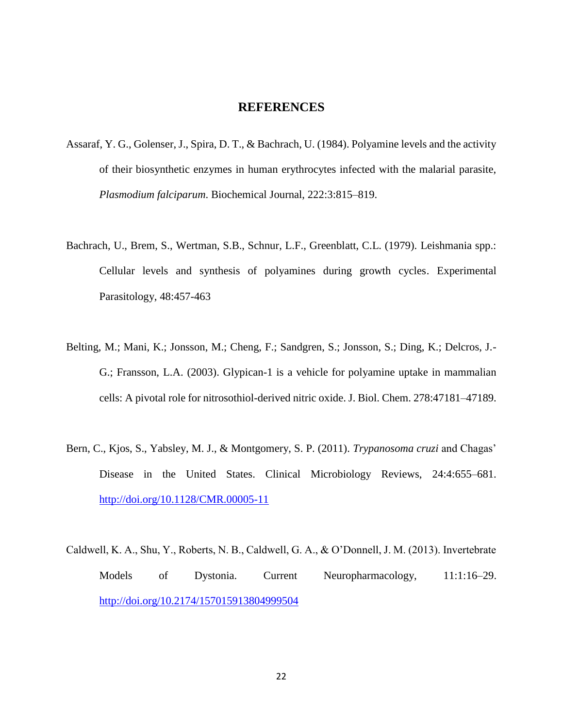#### **REFERENCES**

- <span id="page-29-0"></span>Assaraf, Y. G., Golenser, J., Spira, D. T., & Bachrach, U. (1984). Polyamine levels and the activity of their biosynthetic enzymes in human erythrocytes infected with the malarial parasite, *Plasmodium falciparum*. Biochemical Journal, 222:3:815–819.
- Bachrach, U., Brem, S., Wertman, S.B., Schnur, L.F., Greenblatt, C.L. (1979). Leishmania spp.: Cellular levels and synthesis of polyamines during growth cycles. Experimental Parasitology, 48:457-463
- Belting, M.; Mani, K.; Jonsson, M.; Cheng, F.; Sandgren, S.; Jonsson, S.; Ding, K.; Delcros, J.- G.; Fransson, L.A. (2003). Glypican-1 is a vehicle for polyamine uptake in mammalian cells: A pivotal role for nitrosothiol-derived nitric oxide. J. Biol. Chem. 278:47181–47189.
- Bern, C., Kjos, S., Yabsley, M. J., & Montgomery, S. P. (2011). *Trypanosoma cruzi* and Chagas' Disease in the United States. Clinical Microbiology Reviews, 24:4:655–681. <http://doi.org/10.1128/CMR.00005-11>
- Caldwell, K. A., Shu, Y., Roberts, N. B., Caldwell, G. A., & O'Donnell, J. M. (2013). Invertebrate Models of Dystonia. Current Neuropharmacology, 11:1:16–29. <http://doi.org/10.2174/157015913804999504>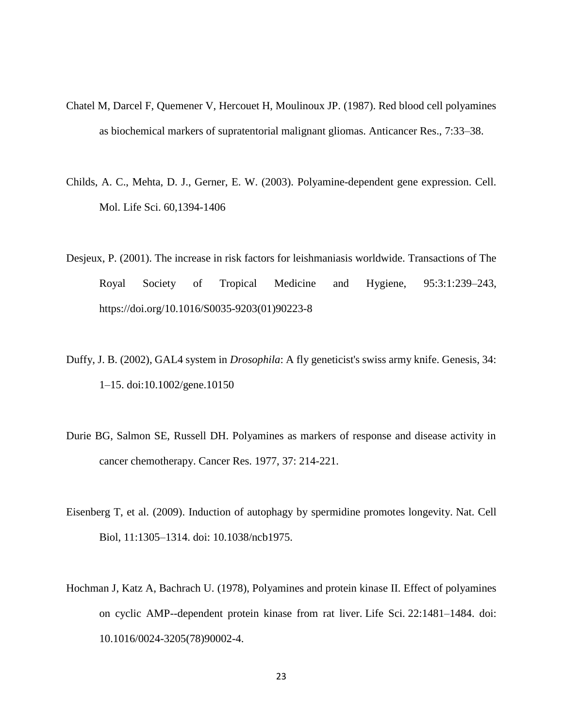- Chatel M, Darcel F, Quemener V, Hercouet H, Moulinoux JP. (1987). Red blood cell polyamines as biochemical markers of supratentorial malignant gliomas. Anticancer Res., 7:33–38.
- Childs, A. C., Mehta, D. J., Gerner, E. W. (2003). Polyamine-dependent gene expression. Cell. Mol. Life Sci. 60,1394-1406
- Desjeux, P. (2001). The increase in risk factors for leishmaniasis worldwide. Transactions of The Royal Society of Tropical Medicine and Hygiene, 95:3:1:239–243, https://doi.org/10.1016/S0035-9203(01)90223-8
- Duffy, J. B. (2002), GAL4 system in *Drosophila*: A fly geneticist's swiss army knife. Genesis, 34: 1–15. doi:10.1002/gene.10150
- Durie BG, Salmon SE, Russell DH. Polyamines as markers of response and disease activity in cancer chemotherapy. Cancer Res. 1977, 37: 214-221.
- Eisenberg T, et al. (2009). Induction of autophagy by spermidine promotes longevity. Nat. Cell Biol, 11:1305–1314. doi: 10.1038/ncb1975.
- Hochman J, Katz A, Bachrach U. (1978), Polyamines and protein kinase II. Effect of polyamines on cyclic AMP--dependent protein kinase from rat liver. Life Sci. 22:1481–1484. doi: 10.1016/0024-3205(78)90002-4.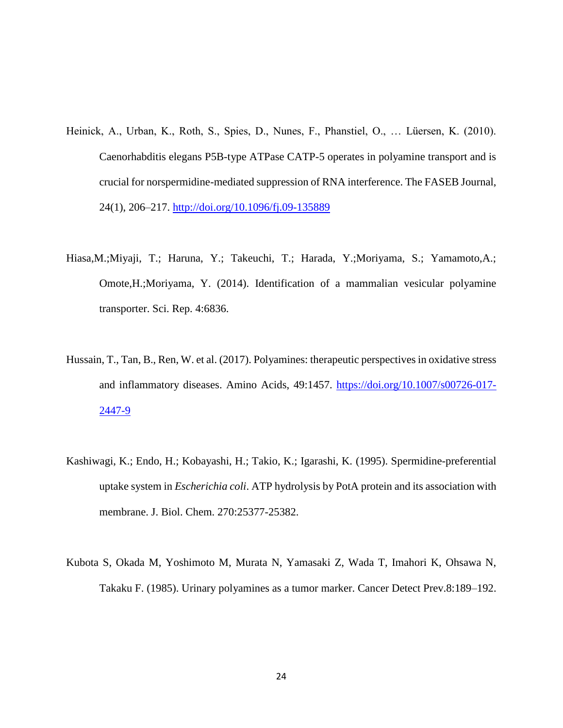- Heinick, A., Urban, K., Roth, S., Spies, D., Nunes, F., Phanstiel, O., … Lüersen, K. (2010). Caenorhabditis elegans P5B-type ATPase CATP-5 operates in polyamine transport and is crucial for norspermidine-mediated suppression of RNA interference. The FASEB Journal, 24(1), 206–217.<http://doi.org/10.1096/fj.09-135889>
- Hiasa,M.;Miyaji, T.; Haruna, Y.; Takeuchi, T.; Harada, Y.;Moriyama, S.; Yamamoto,A.; Omote,H.;Moriyama, Y. (2014). Identification of a mammalian vesicular polyamine transporter. Sci. Rep. 4:6836.
- Hussain, T., Tan, B., Ren, W. et al. (2017). Polyamines: therapeutic perspectives in oxidative stress and inflammatory diseases. Amino Acids, 49:1457. [https://doi.org/10.1007/s00726-017-](https://doi.org/10.1007/s00726-017-2447-9) [2447-9](https://doi.org/10.1007/s00726-017-2447-9)
- Kashiwagi, K.; Endo, H.; Kobayashi, H.; Takio, K.; Igarashi, K. (1995). Spermidine-preferential uptake system in *Escherichia coli*. ATP hydrolysis by PotA protein and its association with membrane. J. Biol. Chem. 270:25377-25382.
- Kubota S, Okada M, Yoshimoto M, Murata N, Yamasaki Z, Wada T, Imahori K, Ohsawa N, Takaku F. (1985). Urinary polyamines as a tumor marker. Cancer Detect Prev.8:189–192.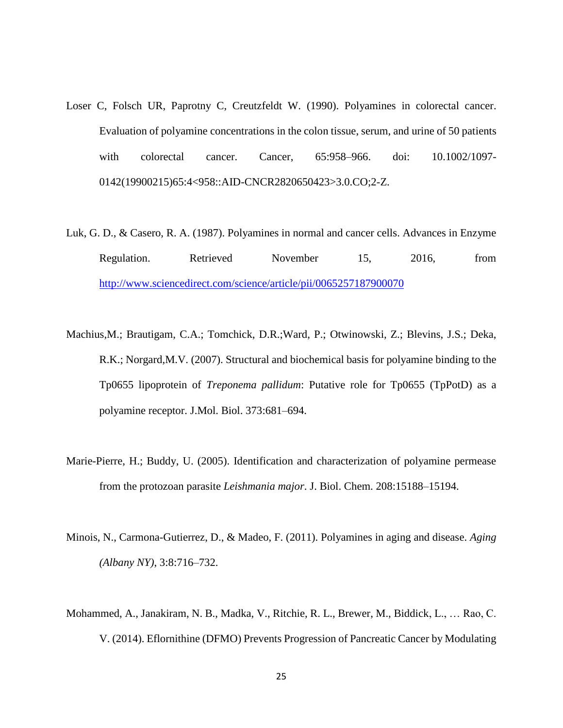- Loser C, Folsch UR, Paprotny C, Creutzfeldt W. (1990). Polyamines in colorectal cancer. Evaluation of polyamine concentrations in the colon tissue, serum, and urine of 50 patients with colorectal cancer. Cancer, 65:958–966. doi: 10.1002/1097- 0142(19900215)65:4<958::AID-CNCR2820650423>3.0.CO;2-Z.
- Luk, G. D., & Casero, R. A. (1987). Polyamines in normal and cancer cells. Advances in Enzyme Regulation. Retrieved November 15, 2016, from <http://www.sciencedirect.com/science/article/pii/0065257187900070>
- Machius,M.; Brautigam, C.A.; Tomchick, D.R.;Ward, P.; Otwinowski, Z.; Blevins, J.S.; Deka, R.K.; Norgard,M.V. (2007). Structural and biochemical basis for polyamine binding to the Tp0655 lipoprotein of *Treponema pallidum*: Putative role for Tp0655 (TpPotD) as a polyamine receptor. J.Mol. Biol. 373:681–694.
- Marie-Pierre, H.; Buddy, U. (2005). Identification and characterization of polyamine permease from the protozoan parasite *Leishmania major*. J. Biol. Chem. 208:15188–15194.
- Minois, N., Carmona-Gutierrez, D., & Madeo, F. (2011). Polyamines in aging and disease. *Aging (Albany NY)*, 3:8:716–732.
- Mohammed, A., Janakiram, N. B., Madka, V., Ritchie, R. L., Brewer, M., Biddick, L., … Rao, C. V. (2014). Eflornithine (DFMO) Prevents Progression of Pancreatic Cancer by Modulating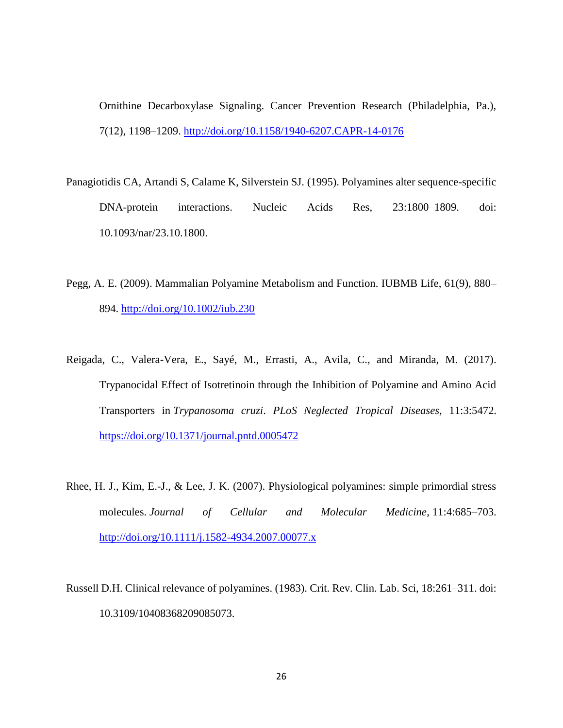Ornithine Decarboxylase Signaling. Cancer Prevention Research (Philadelphia, Pa.), 7(12), 1198–1209.<http://doi.org/10.1158/1940-6207.CAPR-14-0176>

- Panagiotidis CA, Artandi S, Calame K, Silverstein SJ. (1995). Polyamines alter sequence-specific DNA-protein interactions. Nucleic Acids Res, 23:1800–1809. doi: 10.1093/nar/23.10.1800.
- Pegg, A. E. (2009). Mammalian Polyamine Metabolism and Function. IUBMB Life, 61(9), 880– 894.<http://doi.org/10.1002/iub.230>
- Reigada, C., Valera-Vera, E., Sayé, M., Errasti, A., Avila, C., and Miranda, M. (2017). Trypanocidal Effect of Isotretinoin through the Inhibition of Polyamine and Amino Acid Transporters in *Trypanosoma cruzi*. *PLoS Neglected Tropical Diseases,* 11:3:5472. <https://doi.org/10.1371/journal.pntd.0005472>
- Rhee, H. J., Kim, E.-J., & Lee, J. K. (2007). Physiological polyamines: simple primordial stress molecules. *Journal of Cellular and Molecular Medicine*, 11:4:685–703. <http://doi.org/10.1111/j.1582-4934.2007.00077.x>
- Russell D.H. Clinical relevance of polyamines. (1983). Crit. Rev. Clin. Lab. Sci, 18:261–311. doi: 10.3109/10408368209085073.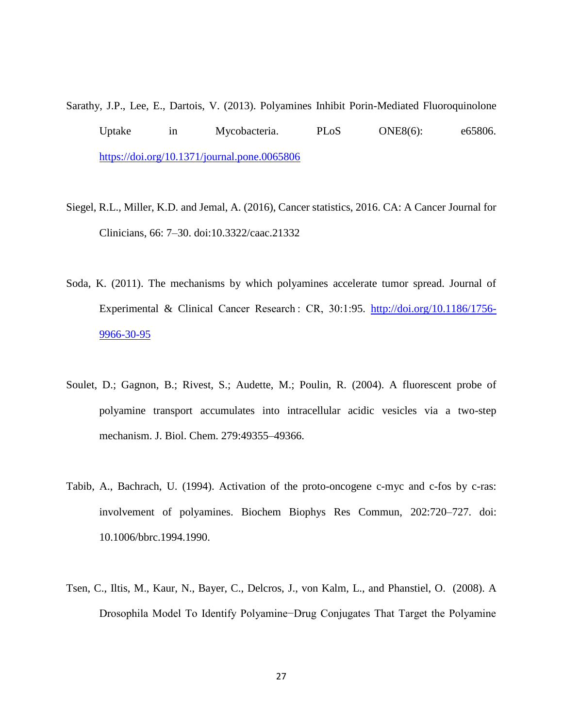Sarathy, J.P., Lee, E., Dartois, V. (2013). Polyamines Inhibit Porin-Mediated Fluoroquinolone Uptake in Mycobacteria. PLoS ONE8(6): e65806. <https://doi.org/10.1371/journal.pone.0065806>

- Siegel, R.L., Miller, K.D. and Jemal, A. (2016), Cancer statistics, 2016. CA: A Cancer Journal for Clinicians, 66: 7–30. doi:10.3322/caac.21332
- Soda, K. (2011). The mechanisms by which polyamines accelerate tumor spread. Journal of Experimental & Clinical Cancer Research : CR, 30:1:95. [http://doi.org/10.1186/1756-](http://doi.org/10.1186/1756-9966-30-95) [9966-30-95](http://doi.org/10.1186/1756-9966-30-95)
- Soulet, D.; Gagnon, B.; Rivest, S.; Audette, M.; Poulin, R. (2004). A fluorescent probe of polyamine transport accumulates into intracellular acidic vesicles via a two-step mechanism. J. Biol. Chem. 279:49355–49366.
- Tabib, A., Bachrach, U. (1994). Activation of the proto-oncogene c-myc and c-fos by c-ras: involvement of polyamines. Biochem Biophys Res Commun, 202:720–727. doi: 10.1006/bbrc.1994.1990.
- Tsen, C., Iltis, M., Kaur, N., Bayer, C., Delcros, J., von Kalm, L., and Phanstiel, O. (2008). A Drosophila Model To Identify Polyamine−Drug Conjugates That Target the Polyamine